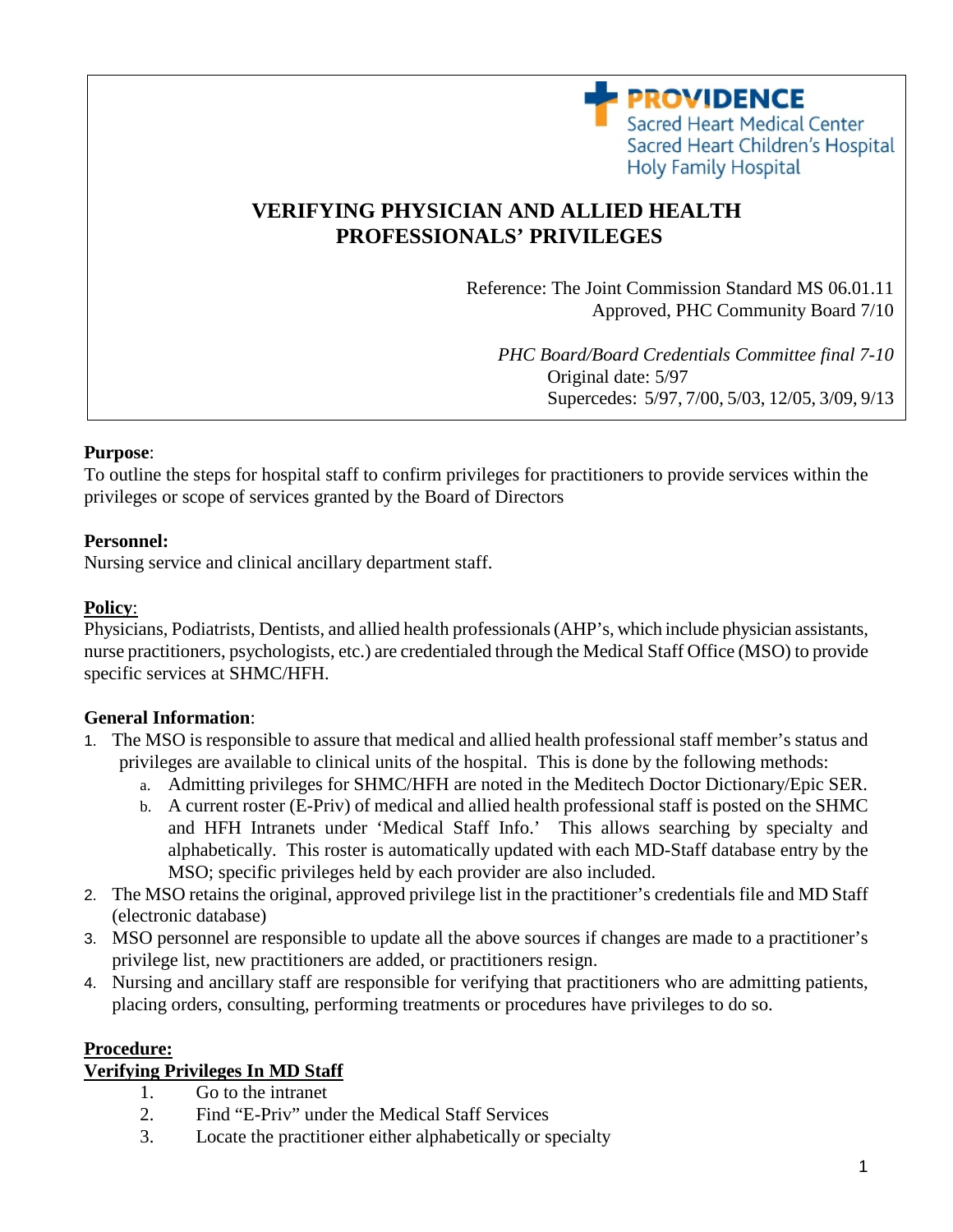

# **VERIFYING PHYSICIAN AND ALLIED HEALTH PROFESSIONALS' PRIVILEGES**

Reference: The Joint Commission Standard MS 06.01.11 Approved, PHC Community Board 7/10

*PHC Board/Board Credentials Committee final 7-10* Original date: 5/97 Supercedes: 5/97, 7/00, 5/03, 12/05, 3/09, 9/13

#### **Purpose**:

To outline the steps for hospital staff to confirm privileges for practitioners to provide services within the privileges or scope of services granted by the Board of Directors

#### **Personnel:**

Nursing service and clinical ancillary department staff.

#### **Policy**:

Physicians, Podiatrists, Dentists, and allied health professionals (AHP's, which include physician assistants, nurse practitioners, psychologists, etc.) are credentialed through the Medical Staff Office (MSO) to provide specific services at SHMC/HFH.

### **General Information**:

- 1. The MSO is responsible to assure that medical and allied health professional staff member's status and privileges are available to clinical units of the hospital. This is done by the following methods:
	- a. Admitting privileges for SHMC/HFH are noted in the Meditech Doctor Dictionary/Epic SER.
	- b. A current roster (E-Priv) of medical and allied health professional staff is posted on the SHMC and HFH Intranets under 'Medical Staff Info.' This allows searching by specialty and alphabetically. This roster is automatically updated with each MD-Staff database entry by the MSO; specific privileges held by each provider are also included.
- 2. The MSO retains the original, approved privilege list in the practitioner's credentials file and MD Staff (electronic database)
- 3. MSO personnel are responsible to update all the above sources if changes are made to a practitioner's privilege list, new practitioners are added, or practitioners resign.
- 4. Nursing and ancillary staff are responsible for verifying that practitioners who are admitting patients, placing orders, consulting, performing treatments or procedures have privileges to do so.

#### **Procedure:**

### **Verifying Privileges In MD Staff**

- 1. Go to the intranet
- 2. Find "E-Priv" under the Medical Staff Services
- 3. Locate the practitioner either alphabetically or specialty